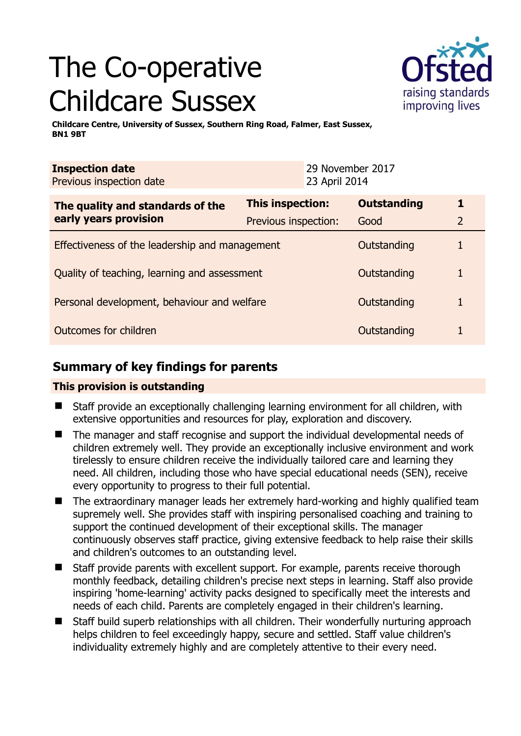# The Co-operative Childcare Sussex



**Childcare Centre, University of Sussex, Southern Ring Road, Falmer, East Sussex, BN1 9BT** 

| <b>Inspection date</b><br>Previous inspection date        |                         | 23 April 2014 | 29 November 2017   |                |
|-----------------------------------------------------------|-------------------------|---------------|--------------------|----------------|
| The quality and standards of the<br>early years provision | <b>This inspection:</b> |               | <b>Outstanding</b> | 1              |
|                                                           | Previous inspection:    |               | Good               | $\overline{2}$ |
| Effectiveness of the leadership and management            |                         |               | Outstanding        |                |
| Quality of teaching, learning and assessment              |                         |               | Outstanding        | 1              |
| Personal development, behaviour and welfare               |                         |               | Outstanding        | 1              |
| Outcomes for children                                     |                         |               | Outstanding        |                |

## **Summary of key findings for parents**

## **This provision is outstanding**

- Staff provide an exceptionally challenging learning environment for all children, with extensive opportunities and resources for play, exploration and discovery.
- The manager and staff recognise and support the individual developmental needs of children extremely well. They provide an exceptionally inclusive environment and work tirelessly to ensure children receive the individually tailored care and learning they need. All children, including those who have special educational needs (SEN), receive every opportunity to progress to their full potential.
- The extraordinary manager leads her extremely hard-working and highly qualified team supremely well. She provides staff with inspiring personalised coaching and training to support the continued development of their exceptional skills. The manager continuously observes staff practice, giving extensive feedback to help raise their skills and children's outcomes to an outstanding level.
- Staff provide parents with excellent support. For example, parents receive thorough monthly feedback, detailing children's precise next steps in learning. Staff also provide inspiring 'home-learning' activity packs designed to specifically meet the interests and needs of each child. Parents are completely engaged in their children's learning.
- Staff build superb relationships with all children. Their wonderfully nurturing approach helps children to feel exceedingly happy, secure and settled. Staff value children's individuality extremely highly and are completely attentive to their every need.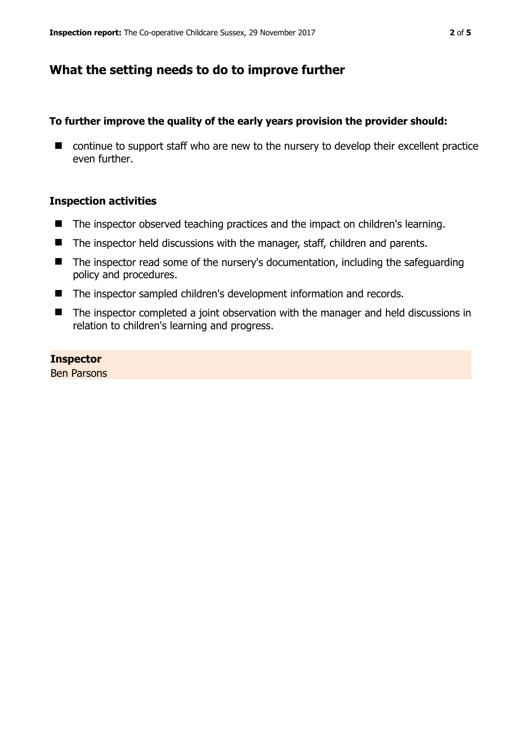## **What the setting needs to do to improve further**

## **To further improve the quality of the early years provision the provider should:**

■ continue to support staff who are new to the nursery to develop their excellent practice even further.

### **Inspection activities**

- The inspector observed teaching practices and the impact on children's learning.
- The inspector held discussions with the manager, staff, children and parents.
- The inspector read some of the nursery's documentation, including the safeguarding policy and procedures.
- The inspector sampled children's development information and records.
- The inspector completed a joint observation with the manager and held discussions in relation to children's learning and progress.

**Inspector**  Ben Parsons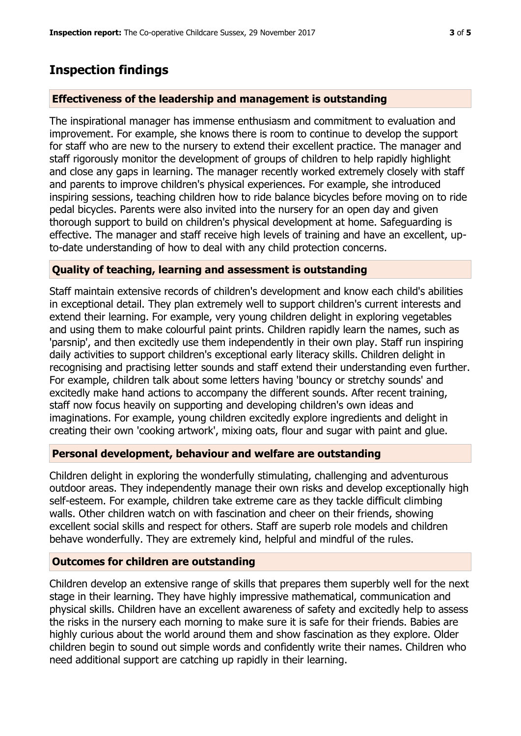## **Inspection findings**

#### **Effectiveness of the leadership and management is outstanding**

The inspirational manager has immense enthusiasm and commitment to evaluation and improvement. For example, she knows there is room to continue to develop the support for staff who are new to the nursery to extend their excellent practice. The manager and staff rigorously monitor the development of groups of children to help rapidly highlight and close any gaps in learning. The manager recently worked extremely closely with staff and parents to improve children's physical experiences. For example, she introduced inspiring sessions, teaching children how to ride balance bicycles before moving on to ride pedal bicycles. Parents were also invited into the nursery for an open day and given thorough support to build on children's physical development at home. Safeguarding is effective. The manager and staff receive high levels of training and have an excellent, upto-date understanding of how to deal with any child protection concerns.

#### **Quality of teaching, learning and assessment is outstanding**

Staff maintain extensive records of children's development and know each child's abilities in exceptional detail. They plan extremely well to support children's current interests and extend their learning. For example, very young children delight in exploring vegetables and using them to make colourful paint prints. Children rapidly learn the names, such as 'parsnip', and then excitedly use them independently in their own play. Staff run inspiring daily activities to support children's exceptional early literacy skills. Children delight in recognising and practising letter sounds and staff extend their understanding even further. For example, children talk about some letters having 'bouncy or stretchy sounds' and excitedly make hand actions to accompany the different sounds. After recent training, staff now focus heavily on supporting and developing children's own ideas and imaginations. For example, young children excitedly explore ingredients and delight in creating their own 'cooking artwork', mixing oats, flour and sugar with paint and glue.

#### **Personal development, behaviour and welfare are outstanding**

Children delight in exploring the wonderfully stimulating, challenging and adventurous outdoor areas. They independently manage their own risks and develop exceptionally high self-esteem. For example, children take extreme care as they tackle difficult climbing walls. Other children watch on with fascination and cheer on their friends, showing excellent social skills and respect for others. Staff are superb role models and children behave wonderfully. They are extremely kind, helpful and mindful of the rules.

#### **Outcomes for children are outstanding**

Children develop an extensive range of skills that prepares them superbly well for the next stage in their learning. They have highly impressive mathematical, communication and physical skills. Children have an excellent awareness of safety and excitedly help to assess the risks in the nursery each morning to make sure it is safe for their friends. Babies are highly curious about the world around them and show fascination as they explore. Older children begin to sound out simple words and confidently write their names. Children who need additional support are catching up rapidly in their learning.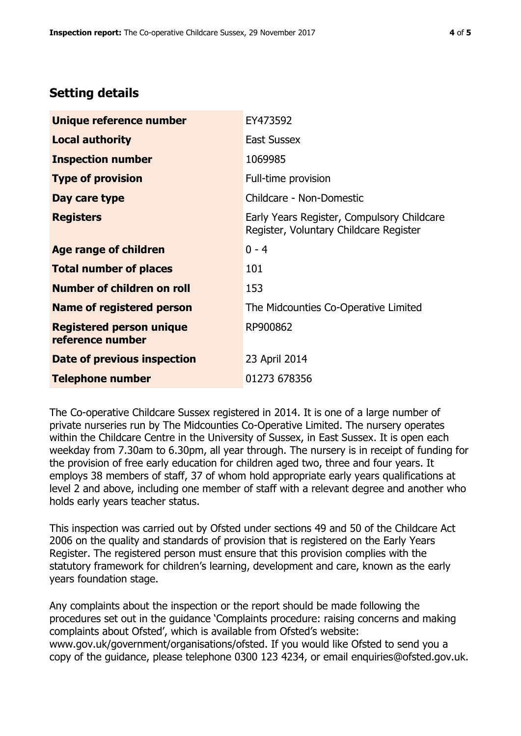## **Setting details**

| Unique reference number                             | EY473592                                                                             |  |
|-----------------------------------------------------|--------------------------------------------------------------------------------------|--|
| <b>Local authority</b>                              | <b>East Sussex</b>                                                                   |  |
| <b>Inspection number</b>                            | 1069985                                                                              |  |
| <b>Type of provision</b>                            | Full-time provision                                                                  |  |
| Day care type                                       | Childcare - Non-Domestic                                                             |  |
| <b>Registers</b>                                    | Early Years Register, Compulsory Childcare<br>Register, Voluntary Childcare Register |  |
| Age range of children                               | $0 - 4$                                                                              |  |
| <b>Total number of places</b>                       | 101                                                                                  |  |
| Number of children on roll                          | 153                                                                                  |  |
| Name of registered person                           | The Midcounties Co-Operative Limited                                                 |  |
| <b>Registered person unique</b><br>reference number | RP900862                                                                             |  |
| <b>Date of previous inspection</b>                  | 23 April 2014                                                                        |  |
| <b>Telephone number</b>                             | 01273 678356                                                                         |  |

The Co-operative Childcare Sussex registered in 2014. It is one of a large number of private nurseries run by The Midcounties Co-Operative Limited. The nursery operates within the Childcare Centre in the University of Sussex, in East Sussex. It is open each weekday from 7.30am to 6.30pm, all year through. The nursery is in receipt of funding for the provision of free early education for children aged two, three and four years. It employs 38 members of staff, 37 of whom hold appropriate early years qualifications at level 2 and above, including one member of staff with a relevant degree and another who holds early years teacher status.

This inspection was carried out by Ofsted under sections 49 and 50 of the Childcare Act 2006 on the quality and standards of provision that is registered on the Early Years Register. The registered person must ensure that this provision complies with the statutory framework for children's learning, development and care, known as the early years foundation stage.

Any complaints about the inspection or the report should be made following the procedures set out in the guidance 'Complaints procedure: raising concerns and making complaints about Ofsted', which is available from Ofsted's website: www.gov.uk/government/organisations/ofsted. If you would like Ofsted to send you a copy of the guidance, please telephone 0300 123 4234, or email enquiries@ofsted.gov.uk.